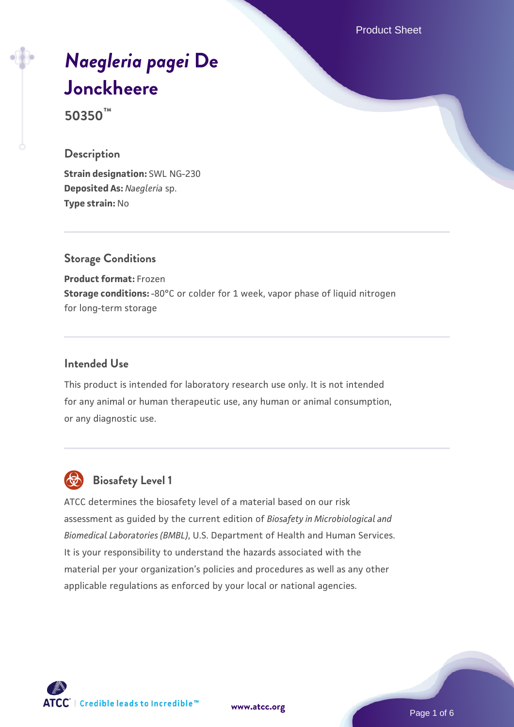Product Sheet

# *[Naegleria pagei](https://www.atcc.org/products/50350)* **[De](https://www.atcc.org/products/50350) [Jonckheere](https://www.atcc.org/products/50350)**

**50350™**

#### **Description**

**Strain designation:** SWL NG-230 **Deposited As:** *Naegleria* sp. **Type strain:** No

## **Storage Conditions**

**Product format:** Frozen **Storage conditions:** -80°C or colder for 1 week, vapor phase of liquid nitrogen for long-term storage

#### **Intended Use**

This product is intended for laboratory research use only. It is not intended for any animal or human therapeutic use, any human or animal consumption, or any diagnostic use.



## **Biosafety Level 1**

ATCC determines the biosafety level of a material based on our risk assessment as guided by the current edition of *Biosafety in Microbiological and Biomedical Laboratories (BMBL)*, U.S. Department of Health and Human Services. It is your responsibility to understand the hazards associated with the material per your organization's policies and procedures as well as any other applicable regulations as enforced by your local or national agencies.



**[www.atcc.org](http://www.atcc.org)**

Page 1 of 6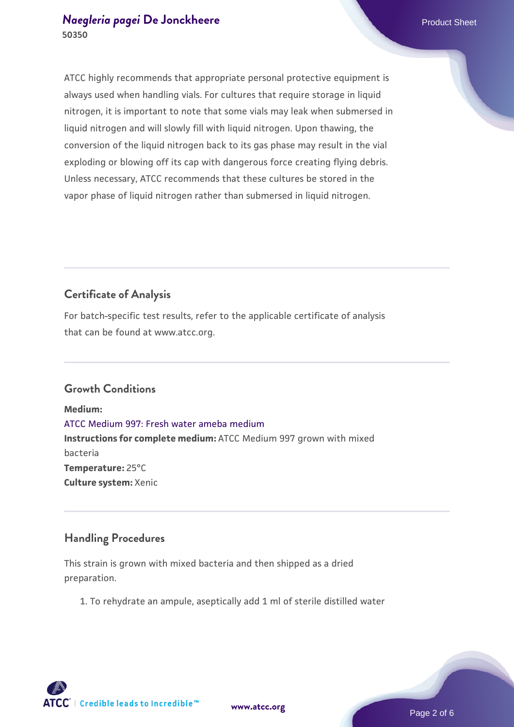## *[Naegleria pagei](https://www.atcc.org/products/50350)* **[De Jonckheere](https://www.atcc.org/products/50350)** Product Sheet **50350**

ATCC highly recommends that appropriate personal protective equipment is always used when handling vials. For cultures that require storage in liquid nitrogen, it is important to note that some vials may leak when submersed in liquid nitrogen and will slowly fill with liquid nitrogen. Upon thawing, the conversion of the liquid nitrogen back to its gas phase may result in the vial exploding or blowing off its cap with dangerous force creating flying debris. Unless necessary, ATCC recommends that these cultures be stored in the vapor phase of liquid nitrogen rather than submersed in liquid nitrogen.

## **Certificate of Analysis**

For batch-specific test results, refer to the applicable certificate of analysis that can be found at www.atcc.org.

## **Growth Conditions**

**Medium:**  [ATCC Medium 997: Fresh water ameba medium](https://www.atcc.org/-/media/product-assets/documents/microbial-media-formulations/atcc-medium-997.pdf?rev=12fcf43d509a4d31b644ae73bda9a968) **Instructions for complete medium:** ATCC Medium 997 grown with mixed bacteria **Temperature:** 25°C **Culture system:** Xenic

## **Handling Procedures**

This strain is grown with mixed bacteria and then shipped as a dried preparation.

1. To rehydrate an ampule, aseptically add 1 ml of sterile distilled water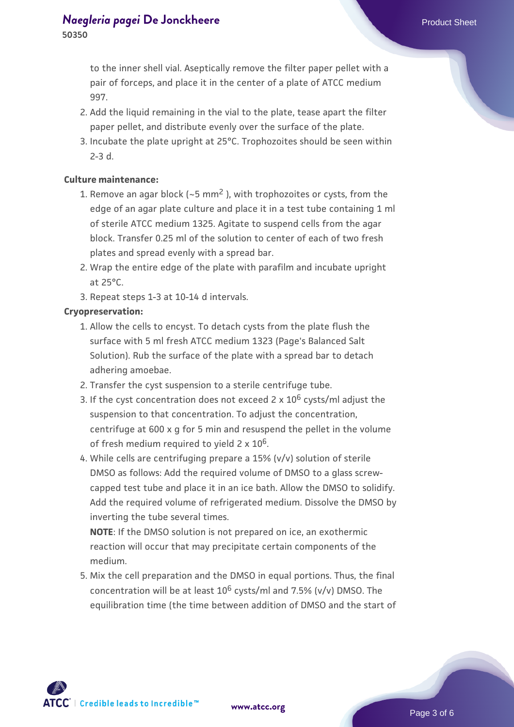## *[Naegleria pagei](https://www.atcc.org/products/50350)* **[De Jonckheere](https://www.atcc.org/products/50350)** Product Sheet **50350**

to the inner shell vial. Aseptically remove the filter paper pellet with a pair of forceps, and place it in the center of a plate of ATCC medium 997.

- 2. Add the liquid remaining in the vial to the plate, tease apart the filter paper pellet, and distribute evenly over the surface of the plate.
- 3. Incubate the plate upright at 25°C. Trophozoites should be seen within 2-3 d.

#### **Culture maintenance:**

- 1. Remove an agar block (~5 mm<sup>2</sup> ), with trophozoites or cysts, from the edge of an agar plate culture and place it in a test tube containing 1 ml of sterile ATCC medium 1325. Agitate to suspend cells from the agar block. Transfer 0.25 ml of the solution to center of each of two fresh plates and spread evenly with a spread bar.
- 2. Wrap the entire edge of the plate with parafilm and incubate upright at 25°C.
- 3. Repeat steps 1-3 at 10-14 d intervals.

#### **Cryopreservation:**

- 1. Allow the cells to encyst. To detach cysts from the plate flush the surface with 5 ml fresh ATCC medium 1323 (Page's Balanced Salt Solution). Rub the surface of the plate with a spread bar to detach adhering amoebae.
- 2. Transfer the cyst suspension to a sterile centrifuge tube.
- 3. If the cyst concentration does not exceed 2 x  $10^6$  cysts/ml adjust the suspension to that concentration. To adjust the concentration, centrifuge at 600 x g for 5 min and resuspend the pellet in the volume of fresh medium required to yield  $2 \times 10^6$ .
- While cells are centrifuging prepare a 15% (v/v) solution of sterile 4. DMSO as follows: Add the required volume of DMSO to a glass screwcapped test tube and place it in an ice bath. Allow the DMSO to solidify. Add the required volume of refrigerated medium. Dissolve the DMSO by inverting the tube several times.

**NOTE**: If the DMSO solution is not prepared on ice, an exothermic reaction will occur that may precipitate certain components of the medium.

Mix the cell preparation and the DMSO in equal portions. Thus, the final 5. concentration will be at least  $10^6$  cysts/ml and 7.5% (y/y) DMSO. The equilibration time (the time between addition of DMSO and the start of

 $\mathsf{ATCC}^*$   $\vdash$  Credible leads to Incredible  $\mathbb {m}$ 

**[www.atcc.org](http://www.atcc.org)**

Page 3 of 6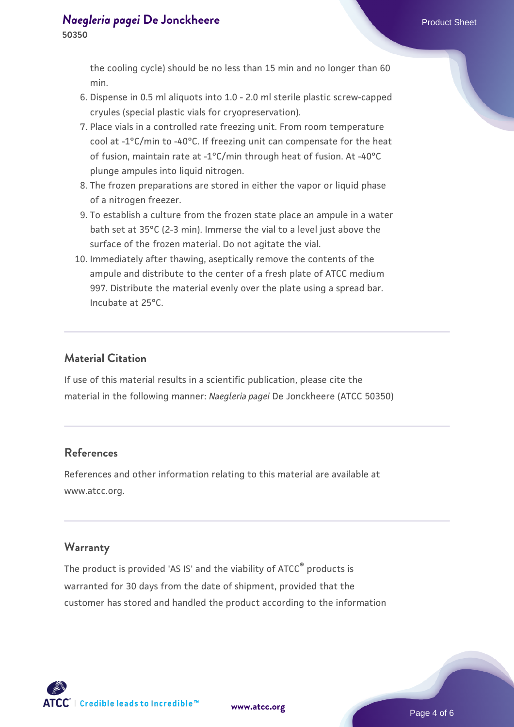the cooling cycle) should be no less than 15 min and no longer than 60 min.

- 6. Dispense in 0.5 ml aliquots into 1.0 2.0 ml sterile plastic screw-capped cryules (special plastic vials for cryopreservation).
- Place vials in a controlled rate freezing unit. From room temperature 7. cool at -1°C/min to -40°C. If freezing unit can compensate for the heat of fusion, maintain rate at -1°C/min through heat of fusion. At -40°C plunge ampules into liquid nitrogen.
- The frozen preparations are stored in either the vapor or liquid phase 8. of a nitrogen freezer.
- To establish a culture from the frozen state place an ampule in a water 9. bath set at 35°C (2-3 min). Immerse the vial to a level just above the surface of the frozen material. Do not agitate the vial.
- 10. Immediately after thawing, aseptically remove the contents of the ampule and distribute to the center of a fresh plate of ATCC medium 997. Distribute the material evenly over the plate using a spread bar. Incubate at 25°C.

## **Material Citation**

If use of this material results in a scientific publication, please cite the material in the following manner: *Naegleria pagei* De Jonckheere (ATCC 50350)

## **References**

References and other information relating to this material are available at www.atcc.org.

## **Warranty**

The product is provided 'AS IS' and the viability of ATCC<sup>®</sup> products is warranted for 30 days from the date of shipment, provided that the customer has stored and handled the product according to the information

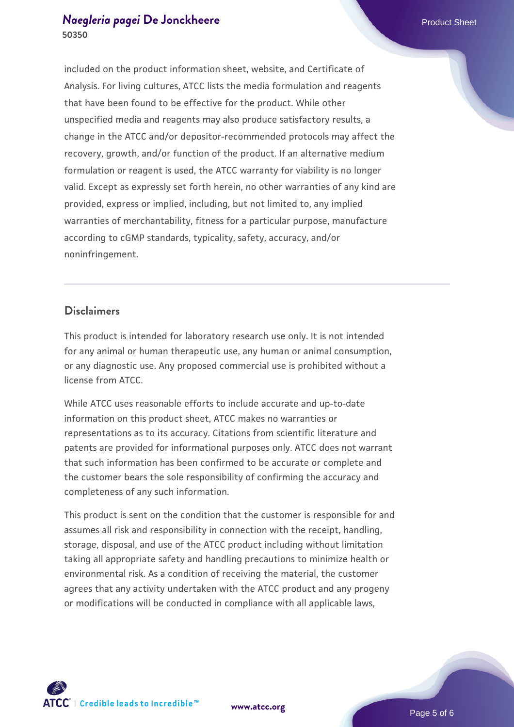## *[Naegleria pagei](https://www.atcc.org/products/50350)* **[De Jonckheere](https://www.atcc.org/products/50350)** Product Sheet **50350**

included on the product information sheet, website, and Certificate of Analysis. For living cultures, ATCC lists the media formulation and reagents that have been found to be effective for the product. While other unspecified media and reagents may also produce satisfactory results, a change in the ATCC and/or depositor-recommended protocols may affect the recovery, growth, and/or function of the product. If an alternative medium formulation or reagent is used, the ATCC warranty for viability is no longer valid. Except as expressly set forth herein, no other warranties of any kind are provided, express or implied, including, but not limited to, any implied warranties of merchantability, fitness for a particular purpose, manufacture according to cGMP standards, typicality, safety, accuracy, and/or noninfringement.

#### **Disclaimers**

This product is intended for laboratory research use only. It is not intended for any animal or human therapeutic use, any human or animal consumption, or any diagnostic use. Any proposed commercial use is prohibited without a license from ATCC.

While ATCC uses reasonable efforts to include accurate and up-to-date information on this product sheet, ATCC makes no warranties or representations as to its accuracy. Citations from scientific literature and patents are provided for informational purposes only. ATCC does not warrant that such information has been confirmed to be accurate or complete and the customer bears the sole responsibility of confirming the accuracy and completeness of any such information.

This product is sent on the condition that the customer is responsible for and assumes all risk and responsibility in connection with the receipt, handling, storage, disposal, and use of the ATCC product including without limitation taking all appropriate safety and handling precautions to minimize health or environmental risk. As a condition of receiving the material, the customer agrees that any activity undertaken with the ATCC product and any progeny or modifications will be conducted in compliance with all applicable laws,



**[www.atcc.org](http://www.atcc.org)**

Page 5 of 6